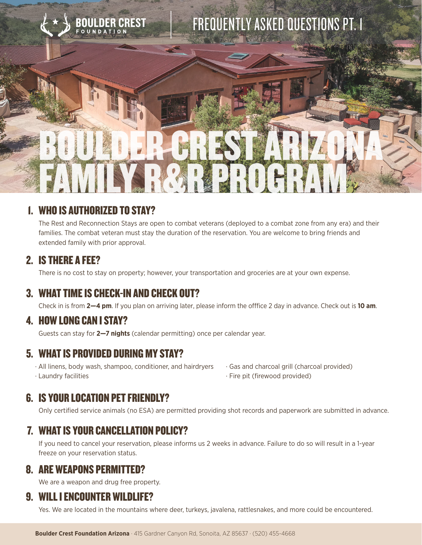

# 1. WHO IS AUTHORIZED TO STAY?

The Rest and Reconnection Stays are open to combat veterans (deployed to a combat zone from any era) and their families. The combat veteran must stay the duration of the reservation. You are welcome to bring friends and extended family with prior approval.

#### 2. IS THERE A FEE?

There is no cost to stay on property; however, your transportation and groceries are at your own expense.

# 3. WHAT TIME IS CHECK-IN AND CHECK OUT?

Check in is from 2-4 pm. If you plan on arriving later, please inform the offfice 2 day in advance. Check out is 10 am.

# 4. HOW LONG CAN I STAY?

Guests can stay for **2—7 nights** (calendar permitting) once per calendar year.

# 5. WHAT IS PROVIDED DURING MY STAY?

· All linens, body wash, shampoo, conditioner, and hairdryers · Laundry facilities

· Gas and charcoal grill (charcoal provided) · Fire pit (firewood provided)

# 6. IS YOUR LOCATION PET FRIENDLY?

Only certified service animals (no ESA) are permitted providing shot records and paperwork are submitted in advance.

# 7. WHAT IS YOUR CANCELLATION POLICY?

If you need to cancel your reservation, please informs us 2 weeks in advance. Failure to do so will result in a 1-year freeze on your reservation status.

# 8. ARE WEAPONS PERMITTED?

We are a weapon and drug free property.

# 9. WILL I ENCOUNTER WILDLIFE?

Yes. We are located in the mountains where deer, turkeys, javalena, rattlesnakes, and more could be encountered.